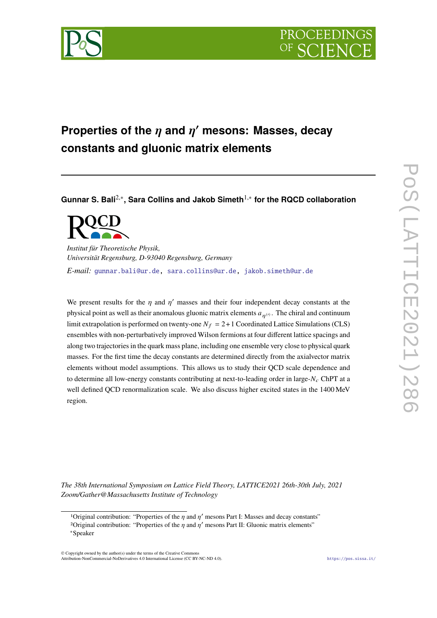



# Properties of the  $\eta$  and  $\eta'$  mesons: Masses, decay **constants and gluonic matrix elements**

**Gunnar S. Bali**2*,*<sup>∗</sup> **, Sara Collins and Jakob Simeth**1*,*<sup>∗</sup> **for the RQCD collaboration**

*Institut für Theoretische Physik, Universität Regensburg, D-93040 Regensburg, Germany E-mail:* [gunnar.bali@ur.de](mailto:gunnar.bali@ur.de), [sara.collins@ur.de](mailto:sara.collins@ur.de), [jakob.simeth@ur.de](mailto:jakob.simeth@ur.de)

We present results for the  $\eta$  and  $\eta'$  masses and their four independent decay constants at the physical point as well as their anomalous gluonic matrix elements  $a_{n(0)}$ . The chiral and continuum limit extrapolation is performed on twenty-one  $N_f = 2+1$  Coordinated Lattice Simulations (CLS) ensembles with non-perturbatively improved Wilson fermions at four different lattice spacings and along two trajectories in the quark mass plane, including one ensemble very close to physical quark masses. For the first time the decay constants are determined directly from the axialvector matrix elements without model assumptions. This allows us to study their QCD scale dependence and to determine all low-energy constants contributing at next-to-leading order in large- $N_c$  ChPT at a well defined QCD renormalization scale. We also discuss higher excited states in the 1400 MeV region.

*The 38th International Symposium on Lattice Field Theory, LATTICE2021 26th-30th July, 2021 Zoom/Gather@Massachusetts Institute of Technology*

© Copyright owned by the author(s) under the terms of the Creative Commons Attribution-NonCommercial-NoDerivatives 4.0 International License (CC BY-NC-ND 4.0). <https://pos.sissa.it/>

<sup>&</sup>lt;sup>1</sup>Original contribution: "Properties of the  $\eta$  and  $\eta'$  mesons Part I: Masses and decay constants"

<sup>&</sup>lt;sup>2</sup>Original contribution: "Properties of the  $\eta$  and  $\eta'$  mesons Part II: Gluonic matrix elements"

<sup>∗</sup>Speaker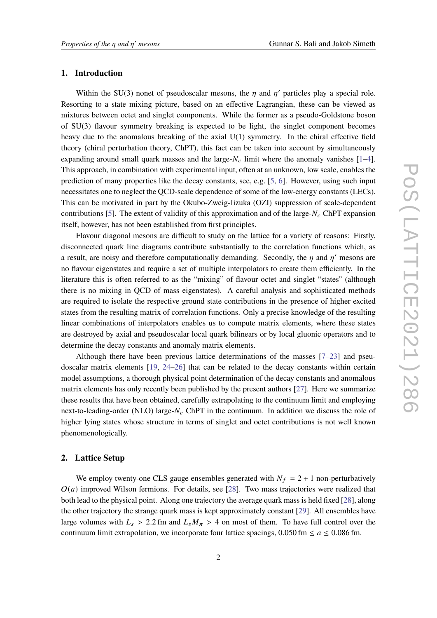# **1. Introduction**

Within the SU(3) nonet of pseudoscalar mesons, the  $\eta$  and  $\eta'$  particles play a special role. Resorting to a state mixing picture, based on an effective Lagrangian, these can be viewed as mixtures between octet and singlet components. While the former as a pseudo-Goldstone boson of SU(3) flavour symmetry breaking is expected to be light, the singlet component becomes heavy due to the anomalous breaking of the axial U(1) symmetry. In the chiral effective field theory (chiral perturbation theory, ChPT), this fact can be taken into account by simultaneously expanding around small quark masses and the large- $N_c$  limit where the anomaly vanishes [\[1–](#page-13-0)[4\]](#page-13-1). This approach, in combination with experimental input, often at an unknown, low scale, enables the prediction of many properties like the decay constants, see, e.g. [\[5,](#page-13-2) [6](#page-13-3)]. However, using such input necessitates one to neglect the QCD-scale dependence of some of the low-energy constants (LECs). This can be motivated in part by the Okubo-Zweig-Iizuka (OZI) suppression of scale-dependent contributions [\[5\]](#page-13-2). The extent of validity of this approximation and of the large- $N_c$  ChPT expansion itself, however, has not been established from first principles.

Flavour diagonal mesons are difficult to study on the lattice for a variety of reasons: Firstly, disconnected quark line diagrams contribute substantially to the correlation functions which, as a result, are noisy and therefore computationally demanding. Secondly, the  $\eta$  and  $\eta'$  mesons are no flavour eigenstates and require a set of multiple interpolators to create them efficiently. In the literature this is often referred to as the "mixing" of flavour octet and singlet "states" (although there is no mixing in QCD of mass eigenstates). A careful analysis and sophisticated methods are required to isolate the respective ground state contributions in the presence of higher excited states from the resulting matrix of correlation functions. Only a precise knowledge of the resulting linear combinations of interpolators enables us to compute matrix elements, where these states are destroyed by axial and pseudoscalar local quark bilinears or by local gluonic operators and to determine the decay constants and anomaly matrix elements.

Although there have been previous lattice determinations of the masses [\[7–](#page-13-4)[23\]](#page-14-0) and pseudoscalar matrix elements [[19,](#page-13-5) [24](#page-14-1)–[26\]](#page-14-2) that can be related to the decay constants within certain model assumptions, a thorough physical point determination of the decay constants and anomalous matrix elements has only recently been published by the present authors [[27](#page-14-3)]. Here we summarize these results that have been obtained, carefully extrapolating to the continuum limit and employing next-to-leading-order (NLO) large- $N_c$  ChPT in the continuum. In addition we discuss the role of higher lying states whose structure in terms of singlet and octet contributions is not well known phenomenologically.

# **2. Lattice Setup**

We employ twenty-one CLS gauge ensembles generated with  $N_f = 2 + 1$  non-perturbatively  $O(a)$  improved Wilson fermions. For details, see [[28\]](#page-14-4). Two mass trajectories were realized that both lead to the physical point. Along one trajectory the average quark mass is held fixed [\[28](#page-14-4)], along the other trajectory the strange quark mass is kept approximately constant [[29\]](#page-14-5). All ensembles have large volumes with  $L_s > 2.2$  fm and  $L_s M_\pi > 4$  on most of them. To have full control over the continuum limit extrapolation, we incorporate four lattice spacings,  $0.050$  fm  $\le a \le 0.086$  fm.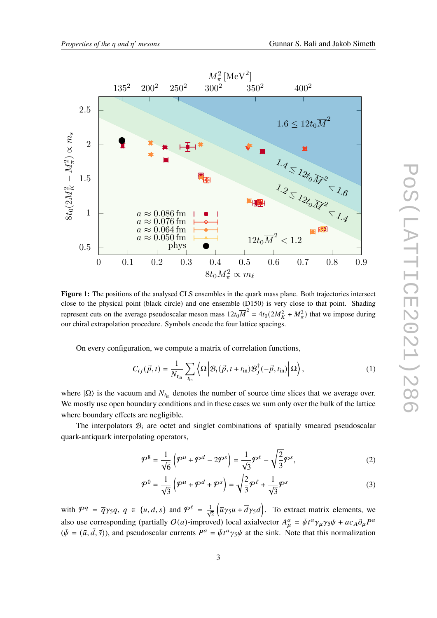

<span id="page-2-2"></span>

**Figure 1:** The positions of the analysed CLS ensembles in the quark mass plane. Both trajectories intersect close to the physical point (black circle) and one ensemble (D150) is very close to that point. Shading represent cuts on the average pseudoscalar meson mass  $12t_0\overline{M}^2 = 4t_0(2M_K^2 + M_\pi^2)$  that we impose during our chiral extrapolation procedure. Symbols encode the four lattice spacings.

On every configuration, we compute a matrix of correlation functions,

$$
C_{ij}(\vec{p},t) = \frac{1}{N_{t_{\text{in}}}} \sum_{t_{\text{in}}} \left\langle \Omega \left| \mathcal{B}_i(\vec{p}, t + t_{\text{in}}) \mathcal{B}_j^{\dagger}(-\vec{p}, t_{\text{in}}) \right| \Omega \right\rangle, \tag{1}
$$

where  $|\Omega\rangle$  is the vacuum and  $N_{t_{\text{in}}}$  denotes the number of source time slices that we average over. We mostly use open boundary conditions and in these cases we sum only over the bulk of the lattice where boundary effects are negligible.

The interpolators  $B_i$  are octet and singlet combinations of spatially smeared pseudoscalar quark-antiquark interpolating operators,

<span id="page-2-0"></span>
$$
\mathcal{P}^8 = \frac{1}{\sqrt{6}} \left( \mathcal{P}^u + \mathcal{P}^d - 2\mathcal{P}^s \right) = \frac{1}{\sqrt{3}} \mathcal{P}^\ell - \sqrt{\frac{2}{3}} \mathcal{P}^s, \tag{2}
$$

<span id="page-2-1"></span>
$$
\mathcal{P}^0 = \frac{1}{\sqrt{3}} \left( \mathcal{P}^u + \mathcal{P}^d + \mathcal{P}^s \right) = \sqrt{\frac{2}{3}} \mathcal{P}^\ell + \frac{1}{\sqrt{3}} \mathcal{P}^s \tag{3}
$$

with  $\mathcal{P}^q = \overline{q}\gamma_5 q, q \in \{u, d, s\}$  and  $\mathcal{P}^{\ell} = \frac{1}{\sqrt{2}}$  $(\overline{u}\gamma_5 u + \overline{d}\gamma_5 d)$ . To extract matrix elements, we also use corresponding (partially  $O(a)$ -improved) local axialvector  $A^a_\mu = \bar{\psi}t^a \gamma_\mu \gamma_5 \psi + ac_A \partial_\mu P^a$  $(\bar{\psi} = (\bar{u}, \bar{d}, \bar{s}))$ , and pseudoscalar currents  $P^a = \bar{\psi}t^a\gamma_5\psi$  at the sink. Note that this normalization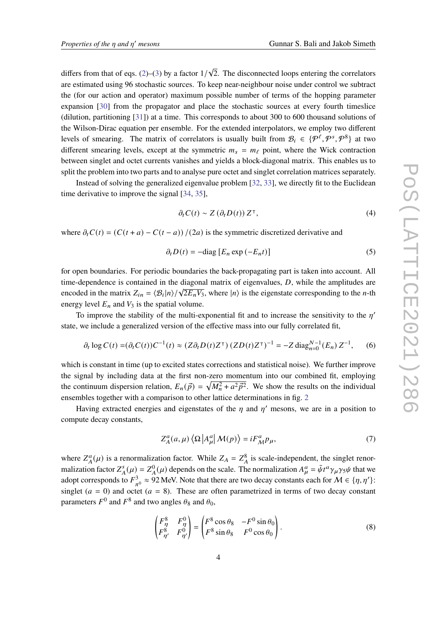differs from that of eqs.  $(2)$ – $(3)$  by a factor  $1/$ √ 2. The disconnected loops entering the correlators are estimated using 96 stochastic sources. To keep near-neighbour noise under control we subtract the (for our action and operator) maximum possible number of terms of the hopping parameter expansion [\[30](#page-14-6)] from the propagator and place the stochastic sources at every fourth timeslice (dilution, partitioning [\[31](#page-14-7)]) at a time. This corresponds to about 300 to 600 thousand solutions of the Wilson-Dirac equation per ensemble. For the extended interpolators, we employ two different levels of smearing. The matrix of correlators is usually built from  $\mathcal{B}_i \in \{P^{\ell}, P^{\delta}, P^{\delta}\}\$ at two different smearing levels, except at the symmetric  $m_s = m_\ell$  point, where the Wick contraction between singlet and octet currents vanishes and yields a block-diagonal matrix. This enables us to split the problem into two parts and to analyse pure octet and singlet correlation matrices separately.

Instead of solving the generalized eigenvalue problem [\[32](#page-14-8), [33](#page-14-9)], we directly fit to the Euclidean time derivative to improve the signal [\[34](#page-14-10), [35\]](#page-14-11),

<span id="page-3-1"></span>
$$
\partial_t C(t) \sim Z \left( \partial_t D(t) \right) Z^{\mathsf{T}},\tag{4}
$$

where  $\partial_t C(t) = (C(t + a) - C(t - a))/(2a)$  is the symmetric discretized derivative and

$$
\partial_t D(t) = -\text{diag}\left[E_n \exp\left(-E_n t\right)\right] \tag{5}
$$

for open boundaries. For periodic boundaries the back-propagating part is taken into account. All time-dependence is contained in the diagonal matrix of eigenvalues,  $D$ , while the amplitudes are encoded in the matrix  $Z_{in} = \langle B_i | n \rangle / \sqrt{2E_n V_3}$ , where  $|n\rangle$  is the eigenstate corresponding to the *n*-th energy level  $E_n$  and  $V_3$  is the spatial volume.

To improve the stability of the multi-exponential fit and to increase the sensitivity to the  $\eta'$ state, we include a generalized version of the effective mass into our fully correlated fit,

$$
\partial_t \log C(t) = (\partial_t C(t))C^{-1}(t) \approx (Z\partial_t D(t)Z^{\top}) (ZD(t)Z^{\top})^{-1} = -Z \text{ diag}_{n=0}^{N-1} (E_n) Z^{-1}, \quad (6)
$$

which is constant in time (up to excited states corrections and statistical noise). We further improve the signal by including data at the first non-zero momentum into our combined fit, employing the continuum dispersion relation,  $E_n(\vec{p}) = \sqrt{M_n^2 + a^2 \vec{p}^2}$ . We show the results on the individual ensembles together with a comparison to other lattice determinations in fig. [2](#page-4-0)

Having extracted energies and eigenstates of the  $\eta$  and  $\eta'$  mesons, we are in a position to compute decay constants,

$$
Z_A^a(a,\mu)\langle\Omega|A_\mu^a|M(p)\rangle = iF_M^a p_\mu,\tag{7}
$$

where  $Z_A^a(\mu)$  is a renormalization factor. While  $Z_A = Z_A^8$  is scale-independent, the singlet renormalization factor  $Z_A^s(\mu) = Z_A^0(\mu)$  depends on the scale. The normalization  $A_\mu^a = \bar{\psi}t^a \gamma_\mu \gamma_5 \psi$  that we adopt corresponds to  $F^3$  $\frac{3}{\pi^0} \approx 92$  MeV. Note that there are two decay constants each for  $M \in \{\eta, \eta'\}$ : singlet  $(a = 0)$  and octet  $(a = 8)$ . These are often parametrized in terms of two decay constant parameters  $F^0$  and  $F^8$  and two angles  $\theta_8$  and  $\theta_0$ ,

<span id="page-3-0"></span>
$$
\begin{pmatrix} F_{\eta}^8 & F_{\eta}^0 \\ F_{\eta'}^8 & F_{\eta'}^0 \end{pmatrix} = \begin{pmatrix} F^8 \cos \theta_8 & -F^0 \sin \theta_0 \\ F^8 \sin \theta_8 & F^0 \cos \theta_0 \end{pmatrix}.
$$
 (8)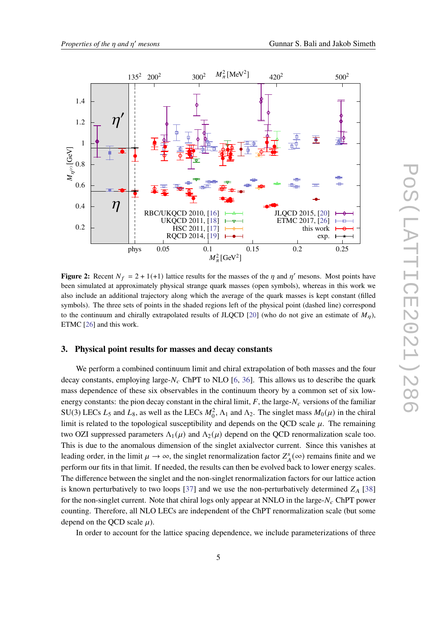<span id="page-4-0"></span>

**Figure 2:** Recent  $N_f = 2 + 1(1)$  lattice results for the masses of the  $\eta$  and  $\eta'$  mesons. Most points have been simulated at approximately physical strange quark masses (open symbols), whereas in this work we also include an additional trajectory along which the average of the quark masses is kept constant (filled symbols). The three sets of points in the shaded regions left of the physical point (dashed line) correspond to the continuum and chirally extrapolated results of JLQCD [\[20](#page-13-9)] (who do not give an estimate of  $M_{\eta}$ ), ETMC [[26\]](#page-14-2) and this work.

# **3. Physical point results for masses and decay constants**

We perform a combined continuum limit and chiral extrapolation of both masses and the four decay constants, employing large- $N_c$  ChPT to NLO [\[6,](#page-13-3) [36\]](#page-14-12). This allows us to describe the quark mass dependence of these six observables in the continuum theory by a common set of six lowenergy constants: the pion decay constant in the chiral limit,  $F$ , the large- $N_c$  versions of the familiar SU(3) LECs  $L_5$  and  $L_8$ , as well as the LECs  $M_0^2$ ,  $\Lambda_1$  and  $\Lambda_2$ . The singlet mass  $M_0(\mu)$  in the chiral limit is related to the topological susceptibility and depends on the QCD scale  $\mu$ . The remaining two OZI suppressed parameters  $\Lambda_1(\mu)$  and  $\Lambda_2(\mu)$  depend on the QCD renormalization scale too. This is due to the anomalous dimension of the singlet axialvector current. Since this vanishes at leading order, in the limit  $\mu \to \infty$ , the singlet renormalization factor  $Z_A^s(\infty)$  remains finite and we perform our fits in that limit. If needed, the results can then be evolved back to lower energy scales. The difference between the singlet and the non-singlet renormalization factors for our lattice action is known perturbatively to two loops [[37\]](#page-14-13) and we use the non-perturbatively determined  $Z_A$  [\[38](#page-14-14)] for the non-singlet current. Note that chiral logs only appear at NNLO in the large- $N_c$  ChPT power counting. Therefore, all NLO LECs are independent of the ChPT renormalization scale (but some depend on the QCD scale  $\mu$ ).

In order to account for the lattice spacing dependence, we include parameterizations of three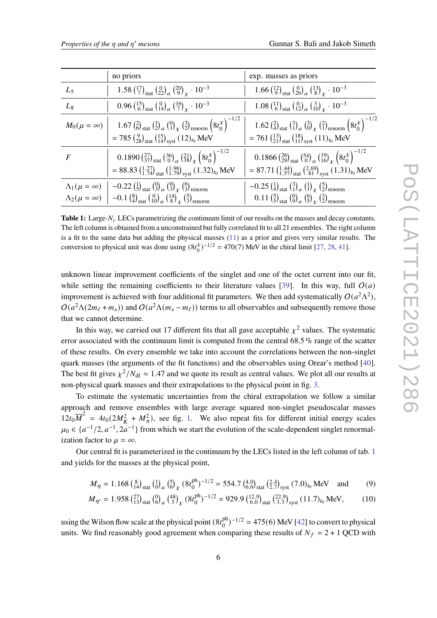<span id="page-5-0"></span>

|                           | no priors                                                                                                                                                                                                 | exp. masses as priors                                                                                                                                                                         |
|---------------------------|-----------------------------------------------------------------------------------------------------------------------------------------------------------------------------------------------------------|-----------------------------------------------------------------------------------------------------------------------------------------------------------------------------------------------|
| $L_5$                     | 1.58 $\binom{17}{7}$ stat $\binom{0}{22}$ $\binom{20}{9}$ $\binom{10^{-3}}{1}$                                                                                                                            | 1.66 $\binom{12}{9}$ stat $\binom{0}{26}$ $\binom{13}{8}$ $\binom{13}{10}$ $\binom{10^{-3}}{10}$                                                                                              |
| $L_8$                     | 0.96 $\binom{15}{6}$ stat $\binom{0}{14}$ $\binom{16}{7}$ $\binom{10}{1}$                                                                                                                                 | 1.08 $\binom{11}{6}$ stat $\binom{0}{12}$ $\binom{3}{10}$ $\binom{10}{x}$ $\cdot$ $10^{-3}$                                                                                                   |
|                           | $M_0(\mu = \infty)$   1.67 $\left(\frac{2}{6}\right)_{\text{stat}} \left(\frac{1}{2}\right)_{a} \left(\frac{0}{1}\right)_{\chi} \left(\frac{3}{2}\right)_{\text{renorm}} \left(8t_0^{\chi}\right)^{-1/2}$ | 1.62 $\left(\frac{2}{4}\right)_{\text{stat}}$ $\left(\frac{3}{1}\right)_{a}$ $\left(\frac{3}{0}\right)_{\chi}$ $\left(\frac{2}{1}\right)_{\text{renorm}}$ $\left(8t_{0}^{\chi}\right)^{-1/2}$ |
|                           | = 785 $\binom{9}{28}$ <sub>stat</sub> $\binom{15}{14}$ <sub>syst</sub> $(12)_{t_0}$ MeV                                                                                                                   | = 761 $\binom{13}{21}$ <sub>stat</sub> $\binom{18}{11}$ <sub>syst</sub> $(11)_{t_0}$ MeV                                                                                                      |
| F                         | 0.1890 $\left(\frac{27}{37}\right)_{\text{stat}} \left(\frac{36}{9}\right)_{a} \left(\frac{21}{38}\right)_{\chi} \left(8t_{0}^{\chi}\right)^{-1/2}$                                                       | 0.1866 $\left(\frac{26}{29}\right)_{\text{stat}} \left(\frac{54}{0}\right)_{a} \left(\frac{19}{16}\right)_{\chi} \left(8t_{0}^{\chi}\right)^{-1/2}$                                           |
|                           | = 88.83 $\left(\frac{1.27}{1.74}\right)_{\text{stat}} \left(\frac{1.96}{1.79}\right)_{\text{syst}} (1.32)_{t_0}$ MeV                                                                                      | = 87.71 $\left(\frac{1.44}{1.57}\right)_{\text{stat}}$ $\left(\frac{2.69}{81}\right)_{\text{syst}}$ $(1.31)_{t_0}$ MeV                                                                        |
| $\Lambda_1(\mu = \infty)$ | $\left[-0.22\left(\frac{1}{5}\right)_{\text{stat}}\left(\frac{0}{3}\right)_a\left(\frac{0}{3}\right)_x\left(\frac{6}{3}\right)_{\text{renorm}}\right]$                                                    | $-0.25\binom{1}{4}_{\text{stat}}\binom{3}{1}_{a}\binom{1}{1}_{\chi}\binom{5}{2}_{\text{renorm}}$                                                                                              |
|                           | $\Lambda_2(\mu = \infty)$ $\Big  -0.1 \left(\frac{8}{4}\right)_{\text{stat}} \left(\frac{0}{10}\right)_{a} \left(\frac{14}{8}\right)_{\chi} \left(\frac{5}{3}\right)_{\text{renorm}}$                     | 0.11 $\left(\frac{5}{5}\right)_{\text{stat}} \left(\frac{0}{9}\right)_{a} \left(\frac{6}{5}\right)_{\chi} \left(\frac{3}{2}\right)_{\text{renorm}}$                                           |

**Table 1:** Large-N<sub>c</sub> LECs parametrizing the continuum limit of our results on the masses and decay constants. The left column is obtained from a unconstrained but fully correlated fit to all 21 ensembles. The right column is a fit to the same data but adding the physical masses [\(11](#page-7-0)) as a prior and gives very similar results. The conversion to physical unit was done using  $(8t_0^{\lambda})$  $\binom{x}{0}$ <sup>-1/2</sup> = 470(7) MeV in the chiral limit [\[27](#page-14-3), [28](#page-14-4), [41](#page-15-0)].

unknown linear improvement coefficients of the singlet and one of the octet current into our fit, while setting the remaining coefficients to their literature values [[39\]](#page-14-15). In this way, full  $O(a)$ improvement is achieved with four additional fit parameters. We then add systematically  $O(a^2\Lambda^2)$ ,  $O(a^2\Lambda(2m_\ell+m_s))$  and  $O(a^2\Lambda(m_s-m_\ell))$  terms to all observables and subsequently remove those that we cannot determine.

In this way, we carried out 17 different fits that all gave acceptable  $\chi^2$  values. The systematic error associated with the continuum limit is computed from the central 68.5% range of the scatter of these results. On every ensemble we take into account the correlations between the non-singlet quark masses (the arguments of the fit functions) and the observables using Orear's method [[40\]](#page-14-16). The best fit gives  $\chi^2/N_{\text{df}} \approx 1.47$  and we quote its result as central values. We plot all our results at non-physical quark masses and their extrapolations to the physical point in fig. [3.](#page-6-0)

To estimate the systematic uncertainties from the chiral extrapolation we follow a similar approach and remove ensembles with large average squared non-singlet pseudoscalar masses  $12t_0\overline{M}^2 = 4t_0(2M_K^2 + M_\pi^2)$ , see fig. [1.](#page-2-2) We also repeat fits for different initial energy scales  $\mu_0 \in \{a^{-1}/2, a^{-1}, 2a^{-1}\}\$ from which we start the evolution of the scale-dependent singlet renormalization factor to  $\mu = \infty$ .

Our central fit is parameterized in the continuum by the LECs listed in the left column of tab. [1](#page-5-0) and yields for the masses at the physical point,

$$
M_{\eta} = 1.168 \left(\substack{8\\14}\right)_{\text{stat}} \left(\substack{1\\0}\right)_{a} \left(\substack{5\\0}\right)_{\chi} (8t_{0}^{\text{ph}})^{-1/2} = 554.7 \left(\substack{4.0\\6.6\right)_{\text{stat}}}\left(\substack{2.4\\2.7}\right)_{\text{syst}} (7.0)_{t_{0}} \text{ MeV} \quad \text{and} \tag{9}
$$

$$
M_{\eta'} = 1.958 \left(\substack{27\\13}\right)_{\text{stat}} \left(\substack{0\\6}\right)_{a} \left(\substack{48\\3}\right)_{\chi} \left(8t_0^{\text{ph}}\right)^{-1/2} = 929.9 \left(\substack{12.9\\6.0}\right)_{\text{stat}} \left(\substack{22.9\\3.3}\right)_{\text{syst}} (11.7)_{t_0} \text{ MeV},\tag{10}
$$

using the Wilson flow scale at the physical point  $(8t_0^{\text{ph}})$  $_{0}^{\text{ph}}$ )<sup>-1/2</sup> = 475(6) MeV [[42\]](#page-15-1) to convert to physical units. We find reasonably good agreement when comparing these results of  $N_f = 2 + 1$  QCD with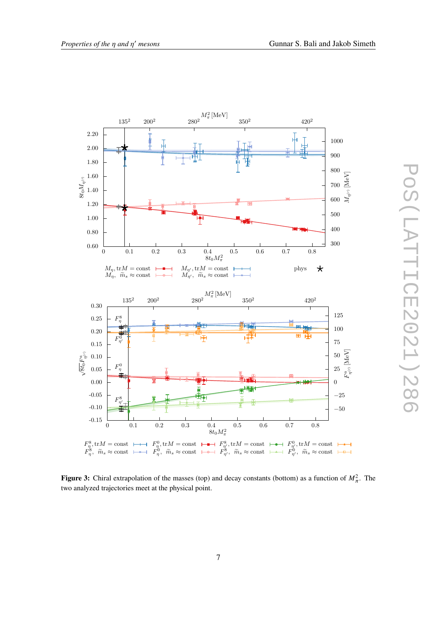<span id="page-6-0"></span>

**Figure 3:** Chiral extrapolation of the masses (top) and decay constants (bottom) as a function of  $M_{\pi}^2$ . The two analyzed trajectories meet at the physical point.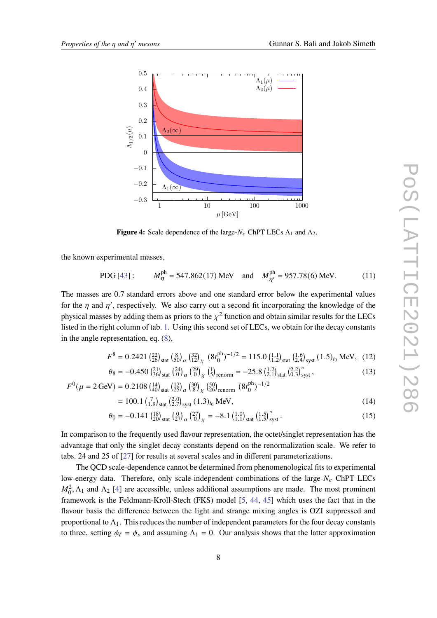<span id="page-7-1"></span>

**Figure 4:** Scale dependence of the large- $N_c$  ChPT LECs  $\Lambda_1$  and  $\Lambda_2$ .

the known experimental masses,

<span id="page-7-0"></span>PDG [43]: 
$$
M_{\eta}^{\text{ph}} = 547.862(17) \text{ MeV}
$$
 and  $M_{\eta'}^{\text{ph}} = 957.78(6) \text{ MeV}$ . (11)

The masses are 0.7 standard errors above and one standard error below the experimental values for the  $\eta$  and  $\eta'$ , respectively. We also carry out a second fit incorporating the knowledge of the physical masses by adding them as priors to the  $\chi^2$  function and obtain similar results for the LECs listed in the right column of tab. [1.](#page-5-0) Using this second set of LECs, we obtain for the decay constants in the angle representation, eq. ([8](#page-3-0)),

$$
F^{8} = 0.2421 \left(^{22}_{26}\right)_{\text{stat}} \left(^{8}_{50}\right)_{a} \left(^{32}_{12}\right)_{\chi} \left(^{8}t_{0}^{\text{ph}}\right)^{-1/2} = 115.0 \left(^{1.1}_{1.2}\right)_{\text{stat}} \left(^{1.6}_{2.4}\right)_{\text{syst}} (1.5)_{t_{0}} \text{ MeV}, \quad (12)
$$

$$
\theta_8 = -0.450 \left(\frac{21}{36}\right)_{\text{stat}} \left(\frac{24}{0}\right)_{a} \left(\frac{29}{0}\right)_{\chi} \left(\frac{1}{5}\right)_{\text{renorm}} = -25.8 \left(\frac{1.2}{2.1}\right)_{\text{stat}} \left(\frac{2.2}{0.3}\right)_{\text{syst}}^{\circ},\tag{13}
$$
\n
$$
F^0(\mu = 2 \,\text{GeV}) = 0.2108 \left(\frac{14}{40}\right)_{\text{stat}} \left(\frac{12}{25}\right)_{a} \left(\frac{30}{8}\right)_{\chi} \left(\frac{50}{26}\right)_{\text{renorm}} \left(8t_0^{\text{ph}}\right)^{-1/2}
$$

$$
= 100.1 \left(\begin{smallmatrix} 7 \\ 1.9 \end{smallmatrix}\right)_{\text{stat}} \left(\begin{smallmatrix} 2.0 \\ 2.7 \end{smallmatrix}\right)_{\text{syst}} (1.3)_{t_0} \text{MeV}, \tag{14}
$$

$$
\theta_0 = -0.141 \left(\frac{18}{20}\right)_{\text{stat}} \left(\frac{0}{27}\right)_{\alpha} \left(\frac{27}{0}\right)_{\chi} = -8.1 \left(\frac{1.0}{1.1}\right)_{\text{stat}} \left(\frac{1.5}{1.5}\right)_{\text{syst}}^{\circ} . \tag{15}
$$

In comparison to the frequently used flavour representation, the octet/singlet representation has the advantage that only the singlet decay constants depend on the renormalization scale. We refer to tabs. 24 and 25 of [[27](#page-14-3)] for results at several scales and in different parameterizations.

The QCD scale-dependence cannot be determined from phenomenological fits to experimental low-energy data. Therefore, only scale-independent combinations of the large- $N_c$  ChPT LECs  $M_0^2$ ,  $\Lambda_1$  and  $\Lambda_2$  [\[4\]](#page-13-1) are accessible, unless additional assumptions are made. The most prominent framework is the Feldmann-Kroll-Stech (FKS) model [\[5,](#page-13-2) [44](#page-15-3), [45](#page-15-4)] which uses the fact that in the flavour basis the difference between the light and strange mixing angles is OZI suppressed and proportional to  $\Lambda_1$ . This reduces the number of independent parameters for the four decay constants to three, setting  $\phi_{\ell} = \phi_s$  and assuming  $\Lambda_1 = 0$ . Our analysis shows that the latter approximation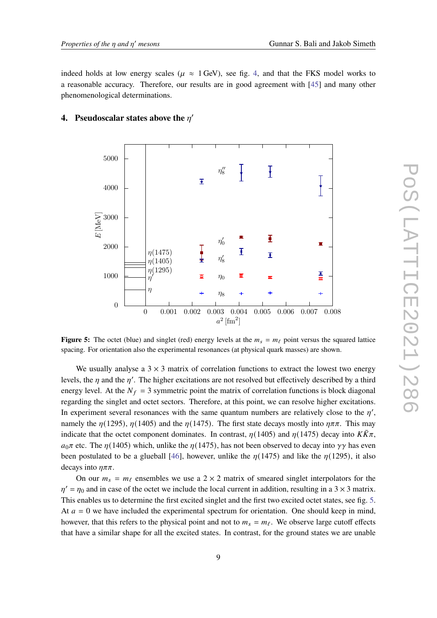indeed holds at low energy scales ( $\mu \approx 1$  GeV), see fig. [4](#page-7-1), and that the FKS model works to a reasonable accuracy. Therefore, our results are in good agreement with [\[45](#page-15-4)] and many other phenomenological determinations.

#### 5000 I *η ′′* 8 Ŧ 4000 *E* [MeV] 3000 Ī *η ′* 0 2000 Ŧ *η*(1475)  $\overline{\mathbf{X}}$ *η ′* 8 *η*(1405) *η*(1295) 졲 1000  $\overline{m}$ *η*0 *η ′* m *η η*8 0 0 0*.*001 0*.*002 0*.*003 0*.*004 0*.*005 0*.*006 0*.*007 0*.*008  $a^2$  [fm<sup>2</sup>]

# <span id="page-8-0"></span>**4.** Pseudoscalar states above the  $\eta'$

**Figure 5:** The octet (blue) and singlet (red) energy levels at the  $m_s = m_\ell$  point versus the squared lattice spacing. For orientation also the experimental resonances (at physical quark masses) are shown.

We usually analyse a  $3 \times 3$  matrix of correlation functions to extract the lowest two energy levels, the  $\eta$  and the  $\eta'$ . The higher excitations are not resolved but effectively described by a third energy level. At the  $N_f = 3$  symmetric point the matrix of correlation functions is block diagonal regarding the singlet and octet sectors. Therefore, at this point, we can resolve higher excitations. In experiment several resonances with the same quantum numbers are relatively close to the  $\eta'$ , namely the  $\eta(1295)$ ,  $\eta(1405)$  and the  $\eta(1475)$ . The first state decays mostly into  $\eta\pi\pi$ . This may indicate that the octet component dominates. In contrast,  $\eta(1405)$  and  $\eta(1475)$  decay into  $K\bar{K}\pi$ ,  $a_0 \pi$  etc. The  $\eta$ (1405) which, unlike the  $\eta$ (1475), has not been observed to decay into  $\gamma \gamma$  has even been postulated to be a glueball [\[46](#page-15-5)], however, unlike the  $\eta(1475)$  and like the  $\eta(1295)$ , it also decays into  $\eta \pi \pi$ .

On our  $m_s = m_\ell$  ensembles we use a 2 × 2 matrix of smeared singlet interpolators for the  $\eta' = \eta_0$  and in case of the octet we include the local current in addition, resulting in a 3  $\times$  3 matrix. This enables us to determine the first excited singlet and the first two excited octet states, see fig. [5](#page-8-0). At  $a = 0$  we have included the experimental spectrum for orientation. One should keep in mind, however, that this refers to the physical point and not to  $m_s = m_\ell$ . We observe large cutoff effects that have a similar shape for all the excited states. In contrast, for the ground states we are unable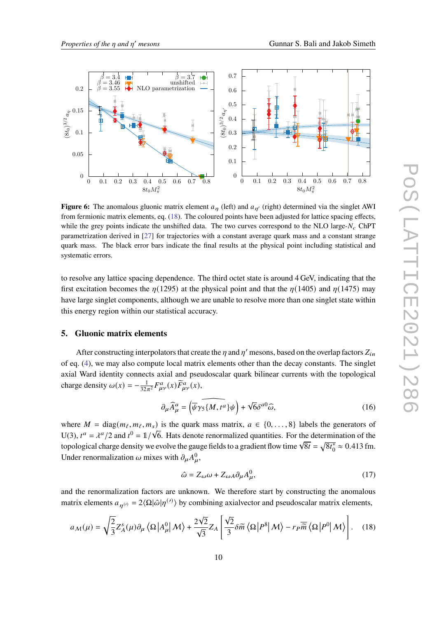<span id="page-9-1"></span>

**Figure 6:** The anomalous gluonic matrix element  $a_n$  (left) and  $a_{n'}$  (right) determined via the singlet AWI from fermionic matrix elements, eq. [\(18](#page-9-0)). The coloured points have been adjusted for lattice spacing effects, while the grey points indicate the unshifted data. The two curves correspond to the NLO large- $N_c$  ChPT parametrization derived in [[27](#page-14-3)] for trajectories with a constant average quark mass and a constant strange quark mass. The black error bars indicate the final results at the physical point including statistical and systematic errors.

to resolve any lattice spacing dependence. The third octet state is around 4 GeV, indicating that the first excitation becomes the  $\eta(1295)$  at the physical point and that the  $\eta(1405)$  and  $\eta(1475)$  may have large singlet components, although we are unable to resolve more than one singlet state within this energy region within our statistical accuracy.

# **5. Gluonic matrix elements**

After constructing interpolators that create the  $\eta$  and  $\eta'$  mesons, based on the overlap factors  $Z_{in}$ of eq. ([4](#page-3-1)), we may also compute local matrix elements other than the decay constants. The singlet axial Ward identity connects axial and pseudoscalar quark bilinear currents with the topological charge density  $\omega(x) = -\frac{1}{32x}$  $\frac{1}{32\pi^2}F^a_{\mu\nu}(x)\widetilde{F}^a_{\mu\nu}(x),$ 

$$
\partial_{\mu}\widehat{A}_{\mu}^{a} = \left(\overline{\psi}\gamma_{5}\widehat{\{M, t^{a}\}}\psi\right) + \sqrt{6}\delta^{a0}\widehat{\omega},\tag{16}
$$

where  $M = \text{diag}(m_\ell, m_\ell, m_s)$  is the quark mass matrix,  $a \in \{0, \ldots, 8\}$  labels the generators of U(3),  $t^a = \lambda^a/2$  and  $t^0 = 1/\sqrt{6}$ . Hats denote renormalized quantities. For the determination of the  $\sigma(s)$ ,  $t = \pi / 2$  and  $t = \pi / \sqrt{8}$ . Thus denote the managed quantities. For the determinance of  $\sqrt{8t} = \sqrt{8t_0^*}$  $\frac{1}{0} \approx 0.413$  fm. Under renormalization  $\omega$  mixes with  $\partial_{\mu}A_{\mu}^{0}$ ,

<span id="page-9-2"></span>
$$
\hat{\omega} = Z_{\omega}\omega + Z_{\omega A}\partial_{\mu}A_{\mu}^{0},\tag{17}
$$

and the renormalization factors are unknown. We therefore start by constructing the anomalous matrix elements  $a_{\eta}$ <sup>(*i*)</sup> = 2 $\langle \Omega | \hat{\omega} | \eta^{(i)} \rangle$  by combining axialvector and pseudoscalar matrix elements,

<span id="page-9-0"></span>
$$
a_{\mathcal{M}}(\mu) = \sqrt{\frac{2}{3}} Z_{A}^{s}(\mu) \partial_{\mu} \langle \Omega | A_{\mu}^{0} | \mathcal{M} \rangle + \frac{2\sqrt{2}}{\sqrt{3}} Z_{A} \left[ \frac{\sqrt{2}}{3} \delta \tilde{m} \langle \Omega | P^{8} | \mathcal{M} \rangle - r_{P} \overline{\tilde{m}} \langle \Omega | P^{0} | \mathcal{M} \rangle \right].
$$
 (18)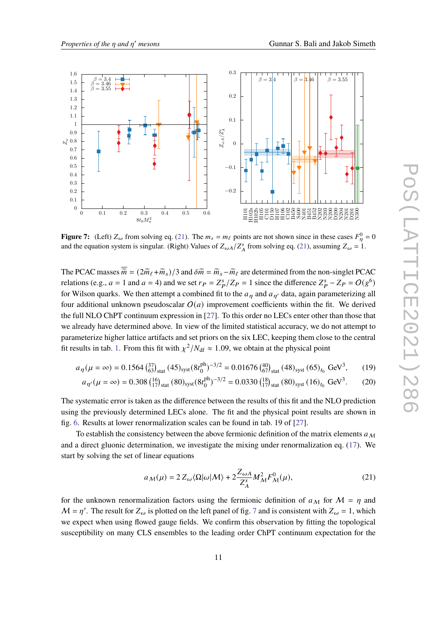<span id="page-10-1"></span>

**Figure 7:** (Left)  $Z_\omega$  from solving eq. ([21\)](#page-10-0). The  $m_s = m_\ell$  points are not shown since in these cases  $F_\eta^0 = 0$ and the equation system is singular. (Right) Values of  $Z_{\omega A}/Z_A^s$  from solving eq. [\(21](#page-10-0)), assuming  $Z_{\omega} = 1$ .

The PCAC masses  $\overline{\widetilde{m}} = (2\widetilde{m}_{\ell} + \widetilde{m}_{s})/3$  and  $\delta \widetilde{m} = \widetilde{m}_{s} - \widetilde{m}_{\ell}$  are determined from the non-singlet PCAC relations (e.g.,  $a = 1$  and  $a = 4$ ) and we set  $r_P = Z_P^s/Z_P = 1$  since the difference  $Z_P^s - Z_P = O(g^6)$ for Wilson quarks. We then attempt a combined fit to the  $a_n$  and  $a_{n'}$  data, again parameterizing all four additional unknown pseudoscalar  $O(a)$  improvement coefficients within the fit. We derived the full NLO ChPT continuum expression in [\[27](#page-14-3)]. To this order no LECs enter other than those that we already have determined above. In view of the limited statistical accuracy, we do not attempt to parameterize higher lattice artifacts and set priors on the six LEC, keeping them close to the central fit results in tab. [1.](#page-5-0) From this fit with  $\chi^2/N_{\text{df}} \approx 1.09$ , we obtain at the physical point

$$
a_{\eta}(\mu = \infty) = 0.1564 \left(^{37}_{63}\right)_{\text{stat}} (45)_{\text{syst}} (8t_0^{\text{ph}})^{-3/2} = 0.01676 \left(^{40}_{67}\right)_{\text{stat}} (48)_{\text{syst}} (65)_{t_0} \text{ GeV}^3, \tag{19}
$$

$$
a_{\eta'}(\mu = \infty) = 0.308 \left(\frac{16}{17}\right)_{\text{stat}} (80)_{\text{syst}} (8t_0^{\text{ph}})^{-3/2} = 0.0330 \left(\frac{18}{17}\right)_{\text{stat}} (80)_{\text{syst}} (16)_{t_0} \text{ GeV}^3. \tag{20}
$$

The systematic error is taken as the difference between the results of this fit and the NLO prediction using the previously determined LECs alone. The fit and the physical point results are shown in fig. [6.](#page-9-1) Results at lower renormalization scales can be found in tab. 19 of [[27\]](#page-14-3).

To establish the consistency between the above fermionic definition of the matrix elements  $a_M$ and a direct gluonic determination, we investigate the mixing under renormalization eq. [\(17](#page-9-2)). We start by solving the set of linear equations

<span id="page-10-0"></span>
$$
a_M(\mu) = 2 Z_\omega \langle \Omega | \omega | M \rangle + 2 \frac{Z_{\omega A}}{Z_A^s} M_M^2 F_M^0(\mu), \tag{21}
$$

for the unknown renormalization factors using the fermionic definition of  $a_M$  for  $M = \eta$  and  $M = \eta'$ . The result for  $Z_{\omega}$  is plotted on the left panel of fig. [7](#page-10-1) and is consistent with  $Z_{\omega} = 1$ , which we expect when using flowed gauge fields. We confirm this observation by fitting the topological susceptibility on many CLS ensembles to the leading order ChPT continuum expectation for the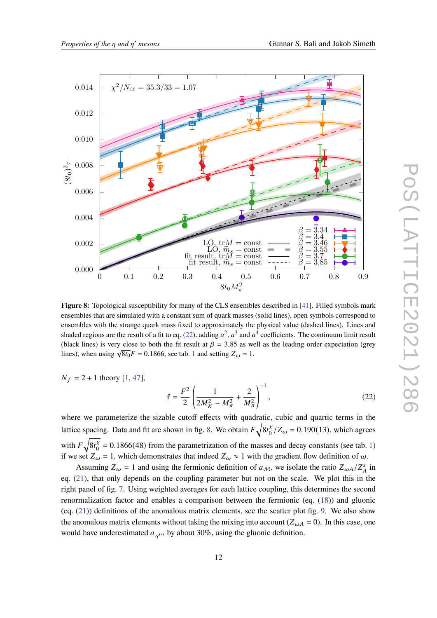<span id="page-11-1"></span>

**Figure 8:** Topological susceptibility for many of the CLS ensembles described in [\[41](#page-15-0)]. Filled symbols mark ensembles that are simulated with a constant sum of quark masses (solid lines), open symbols correspond to ensembles with the strange quark mass fixed to approximately the physical value (dashed lines). Lines and shaded regions are the result of a fit to eq. ([22\)](#page-11-0), adding  $a^2$ ,  $a^3$  and  $a^4$  coefficients. The continuum limit result (black lines) is very close to both the fit result at  $\beta = 3.85$  as well as the leading order expectation (grey lines), when using  $\sqrt{8t_0}F = 0.1866$  $\sqrt{8t_0}F = 0.1866$  $\sqrt{8t_0}F = 0.1866$ , see tab. 1 and setting  $Z_\omega = 1$ .

 $N_f = 2 + 1$  $N_f = 2 + 1$  theory [1, [47\]](#page-15-6),

<span id="page-11-0"></span>
$$
\hat{\tau} = \frac{F^2}{2} \left( \frac{1}{2M_K^2 - M_\pi^2} + \frac{2}{M_\pi^2} \right)^{-1},\tag{22}
$$

where we parameterize the sizable cutoff effects with quadratic, cubic and quartic terms in the lattice spacing. Data and fit are shown in fig. [8](#page-11-1). We obtain  $F\sqrt{8t_0^{\lambda}}$  $\frac{\chi}{0}$ /Z<sub>ω</sub> = 0.190(13), which agrees with  $F\sqrt{8t_0^{\chi}}$  $\alpha_0^{\chi}$  = 0.[1](#page-5-0)866(48) from the parametrization of the masses and decay constants (see tab. 1) if we set  $Z_{\omega} = 1$ , which demonstrates that indeed  $Z_{\omega} \approx 1$  with the gradient flow definition of  $\omega$ .

Assuming  $Z_{\omega} = 1$  and using the fermionic definition of  $a_M$ , we isolate the ratio  $Z_{\omega A}/Z_A^s$  in eq. ([21\)](#page-10-0), that only depends on the coupling parameter but not on the scale. We plot this in the right panel of fig. [7.](#page-10-1) Using weighted averages for each lattice coupling, this determines the second renormalization factor and enables a comparison between the fermionic (eq. ([18\)](#page-9-0)) and gluonic (eq. ([21\)](#page-10-0)) definitions of the anomalous matrix elements, see the scatter plot fig. [9.](#page-12-0) We also show the anomalous matrix elements without taking the mixing into account ( $Z_{\omega A} = 0$ ). In this case, one would have underestimated  $a_{n^{(\prime)}}$  by about 30%, using the gluonic definition.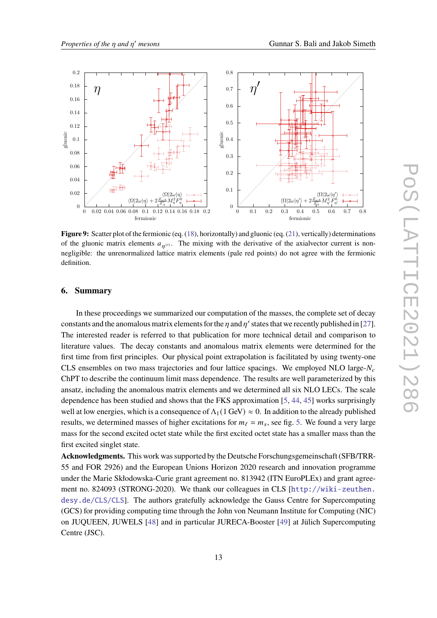<span id="page-12-0"></span>

**Figure 9:** Scatter plot of the fermionic (eq. ([18\)](#page-9-0), horizontally) and gluonic (eq. ([21\)](#page-10-0), vertically) determinations of the gluonic matrix elements  $a_{\eta(0)}$ . The mixing with the derivative of the axialvector current is nonnegligible: the unrenormalized lattice matrix elements (pale red points) do not agree with the fermionic definition.

# **6. Summary**

In these proceedings we summarized our computation of the masses, the complete set of decay constants and the anomalous matrix elements for the  $\eta$  and  $\eta'$  states that we recently published in [[27\]](#page-14-3). The interested reader is referred to that publication for more technical detail and comparison to literature values. The decay constants and anomalous matrix elements were determined for the first time from first principles. Our physical point extrapolation is facilitated by using twenty-one CLS ensembles on two mass trajectories and four lattice spacings. We employed NLO large- $N_c$ ChPT to describe the continuum limit mass dependence. The results are well parameterized by this ansatz, including the anomalous matrix elements and we determined all six NLO LECs. The scale dependence has been studied and shows that the FKS approximation [\[5,](#page-13-2) [44](#page-15-3), [45](#page-15-4)] works surprisingly well at low energies, which is a consequence of  $\Lambda_1(1 \text{ GeV}) \approx 0$ . In addition to the already published results, we determined masses of higher excitations for  $m_\ell = m_s$ , see fig. [5.](#page-8-0) We found a very large mass for the second excited octet state while the first excited octet state has a smaller mass than the first excited singlet state.

**Acknowledgments.** This work was supported by the Deutsche Forschungsgemeinschaft (SFB/TRR-55 and FOR 2926) and the European Unions Horizon 2020 research and innovation programme under the Marie Skłodowska-Curie grant agreement no. 813942 (ITN EuroPLEx) and grant agreement no. 824093 (STRONG-2020). We thank our colleagues in CLS [[http://wiki-zeuthen.](http://wiki-zeuthen.desy.de/CLS/CLS) [desy.de/CLS/CLS](http://wiki-zeuthen.desy.de/CLS/CLS)]. The authors gratefully acknowledge the Gauss Centre for Supercomputing (GCS) for providing computing time through the John von Neumann Institute for Computing (NIC) on JUQUEEN, JUWELS [[48\]](#page-15-7) and in particular JURECA-Booster [\[49](#page-15-8)] at Jülich Supercomputing Centre (JSC).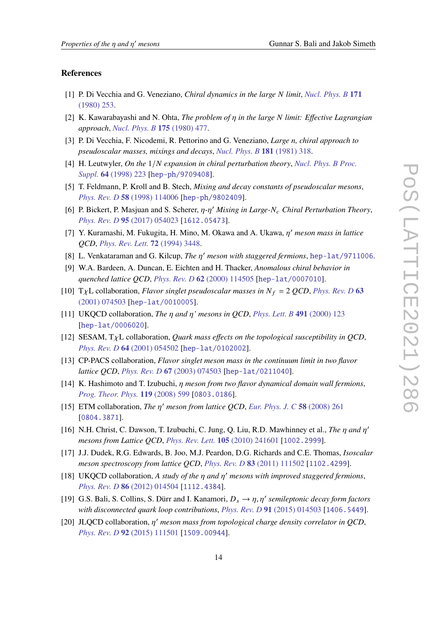### **References**

- <span id="page-13-0"></span>[1] P. Di Vecchia and G. Veneziano, *Chiral dynamics in the large limit*, *[Nucl. Phys. B](https://doi.org/10.1016/0550-3213(80)90370-3)* **171** [\(1980\) 253](https://doi.org/10.1016/0550-3213(80)90370-3).
- [2] K. Kawarabayashi and N. Ohta, *The problem of in the large limit: Effective Lagrangian approach*, *[Nucl. Phys. B](https://doi.org/10.1016/0550-3213(80)90024-3)* **175** (1980) 477.
- [3] P. Di Vecchia, F. Nicodemi, R. Pettorino and G. Veneziano, *Large n, chiral approach to pseudoscalar masses, mixings and decays*, *[Nucl. Phys. B](https://doi.org/10.1016/0550-3213(81)90356-4)* **181** (1981) 318.
- <span id="page-13-1"></span>[4] H. Leutwyler, *On the* 1/ *expansion in chiral perturbation theory*, *[Nucl. Phys. B Proc.](https://doi.org/10.1016/S0920-5632(97)01065-7) Suppl.* **64** [\(1998\) 223](https://doi.org/10.1016/S0920-5632(97)01065-7) [[hep-ph/9709408](https://arxiv.org/abs/hep-ph/9709408)].
- <span id="page-13-2"></span>[5] T. Feldmann, P. Kroll and B. Stech, *Mixing and decay constants of pseudoscalar mesons*, *Phys. Rev. D* **58** [\(1998\) 114006](https://doi.org/10.1103/PhysRevD.58.114006) [[hep-ph/9802409](https://arxiv.org/abs/hep-ph/9802409)].
- <span id="page-13-3"></span>[6] P. Bickert, P. Masjuan and S. Scherer,  $η$ -η' Mixing in Large-N<sub>c</sub> Chiral Perturbation Theory, *Phys. Rev. D* **95** [\(2017\) 054023](https://doi.org/10.1103/PhysRevD.95.054023) [[1612.05473](https://arxiv.org/abs/1612.05473)].
- <span id="page-13-4"></span>[7] Y. Kuramashi, M. Fukugita, H. Mino, M. Okawa and A. Ukawa,  $\eta'$  meson mass in lattice *QCD*, *[Phys. Rev. Lett.](https://doi.org/10.1103/PhysRevLett.72.3448)* **72** (1994) 3448.
- [8] L. Venkataraman and G. Kilcup, *The*  $\eta'$  *meson with staggered fermions*, [hep-lat/9711006](https://arxiv.org/abs/hep-lat/9711006).
- [9] W.A. Bardeen, A. Duncan, E. Eichten and H. Thacker, *Anomalous chiral behavior in quenched lattice QCD*, *Phys. Rev. D* **62** [\(2000\) 114505](https://doi.org/10.1103/PhysRevD.62.114505) [[hep-lat/0007010](https://arxiv.org/abs/hep-lat/0007010)].
- [10] T<sub>X</sub>L collaboration, *Flavor singlet pseudoscalar masses in*  $N_f = 2$  *QCD*, *[Phys. Rev. D](https://doi.org/10.1103/PhysRevD.63.074503)* 63 [\(2001\) 074503](https://doi.org/10.1103/PhysRevD.63.074503) [[hep-lat/0010005](https://arxiv.org/abs/hep-lat/0010005)].
- [11] UKQCD collaboration, *The*  $\eta$  and  $\eta'$  mesons in QCD, *[Phys. Lett. B](https://doi.org/10.1016/S0370-2693(02)03005-8, 10.1016/S0370-2693(00)01010-8)* 491 (2000) 123 [[hep-lat/0006020](https://arxiv.org/abs/hep-lat/0006020)].
- [12] SESAM,  $T_{\chi}L$  collaboration, *Quark mass effects on the topological susceptibility in QCD*, *Phys. Rev. D* **64** [\(2001\) 054502](https://doi.org/10.1103/PhysRevD.64.054502) [[hep-lat/0102002](https://arxiv.org/abs/hep-lat/0102002)].
- [13] CP-PACS collaboration, *Flavor singlet meson mass in the continuum limit in two flavor lattice QCD*, *Phys. Rev. D* **67** [\(2003\) 074503](https://doi.org/10.1103/PhysRevD.67.074503) [[hep-lat/0211040](https://arxiv.org/abs/hep-lat/0211040)].
- [14] K. Hashimoto and T. Izubuchi, *meson from two flavor dynamical domain wall fermions*, *[Prog. Theor. Phys.](https://doi.org/10.1143/PTP.119.599)* **119** (2008) 599 [[0803.0186](https://arxiv.org/abs/0803.0186)].
- [15] ETM collaboration, *The*  $\eta'$  meson from lattice QCD, *[Eur. Phys. J. C](https://doi.org/10.1140/epjc/s10052-008-0764-6)* 58 (2008) 261 [[0804.3871](https://arxiv.org/abs/0804.3871)].
- <span id="page-13-6"></span>[16] N.H. Christ, C. Dawson, T. Izubuchi, C. Jung, Q. Liu, R.D. Mawhinney et al., *The*  $\eta$  and  $\eta'$ *mesons from Lattice QCD*, *[Phys. Rev. Lett.](https://doi.org/10.1103/PhysRevLett.105.241601)* **105** (2010) 241601 [[1002.2999](https://arxiv.org/abs/1002.2999)].
- <span id="page-13-8"></span>[17] J.J. Dudek, R.G. Edwards, B. Joo, M.J. Peardon, D.G. Richards and C.E. Thomas, *Isoscalar meson spectroscopy from lattice QCD*, *Phys. Rev. D* **83** [\(2011\) 111502](https://doi.org/10.1103/PhysRevD.83.111502) [[1102.4299](https://arxiv.org/abs/1102.4299)].
- <span id="page-13-7"></span>[18] UKQCD collaboration, A study of the  $\eta$  and  $\eta'$  mesons with improved staggered fermions, *Phys. Rev. D* **86** [\(2012\) 014504](https://doi.org/10.1103/PhysRevD.86.014504) [[1112.4384](https://arxiv.org/abs/1112.4384)].
- <span id="page-13-5"></span>[19] G.S. Bali, S. Collins, S. Dürr and I. Kanamori,  $D_s \to \eta, \eta'$  semileptonic decay form factors *with disconnected quark loop contributions*, *Phys. Rev. D* **91** [\(2015\) 014503](https://doi.org/10.1103/PhysRevD.91.014503) [[1406.5449](https://arxiv.org/abs/1406.5449)].
- <span id="page-13-9"></span>[20] JLQCD collaboration,  $\eta'$  meson mass from topological charge density correlator in QCD, *Phys. Rev. D* **92** [\(2015\) 111501](https://doi.org/10.1103/PhysRevD.92.111501) [[1509.00944](https://arxiv.org/abs/1509.00944)].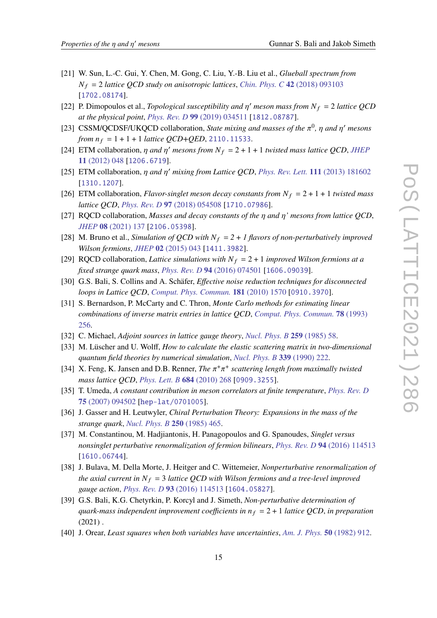- [21] W. Sun, L.-C. Gui, Y. Chen, M. Gong, C. Liu, Y.-B. Liu et al., *Glueball spectrum from*  $N_f = 2$  *lattice QCD study on anisotropic lattices, Chin. Phys. C* 42 [\(2018\) 093103](https://doi.org/10.1088/1674-1137/42/9/093103) [[1702.08174](https://arxiv.org/abs/1702.08174)].
- [22] P. Dimopoulos et al., *Topological susceptibility and*  $\eta'$  meson mass from  $N_f = 2$  lattice QCD *at the physical point*, *Phys. Rev. D* **99** [\(2019\) 034511](https://doi.org/10.1103/PhysRevD.99.034511) [[1812.08787](https://arxiv.org/abs/1812.08787)].
- <span id="page-14-0"></span>[23] CSSM/QCDSF/UKQCD collaboration, *State mixing and masses of the*  $\pi^0$ ,  $\eta$  and  $\eta'$  mesons *from*  $n_f = 1 + 1 + 1$  *lattice QCD+QED*, [2110.11533](https://arxiv.org/abs/2110.11533).
- <span id="page-14-1"></span>[24] ETM collaboration,  $\eta$  and  $\eta'$  mesons from  $N_f = 2 + 1 + 1$  *twisted mass lattice QCD*, *[JHEP](https://doi.org/10.1007/JHEP11(2012)048)* **11** [\(2012\) 048](https://doi.org/10.1007/JHEP11(2012)048) [[1206.6719](https://arxiv.org/abs/1206.6719)].
- [25] ETM collaboration,  $\eta$  and  $\eta'$  mixing from Lattice QCD, [Phys. Rev. Lett.](https://doi.org/10.1103/PhysRevLett.111.181602) 111 (2013) 181602 [[1310.1207](https://arxiv.org/abs/1310.1207)].
- <span id="page-14-2"></span>[26] ETM collaboration, *Flavor-singlet meson decay constants from*  $N_f = 2 + 1 + 1$  *twisted mass lattice QCD*, *Phys. Rev. D* **97** [\(2018\) 054508](https://doi.org/10.1103/PhysRevD.97.054508) [[1710.07986](https://arxiv.org/abs/1710.07986)].
- <span id="page-14-3"></span>[27] RQCD collaboration, *Masses and decay constants of the*  $\eta$  *and*  $\eta'$  *mesons from lattice QCD*, *JHEP* **08** [\(2021\) 137](https://doi.org/10.1007/JHEP08(2021)137) [[2106.05398](https://arxiv.org/abs/2106.05398)].
- <span id="page-14-4"></span>[28] M. Bruno et al., *Simulation of QCD with*  $N_f = 2 + 1$  *flavors of non-perturbatively improved Wilson fermions*, *JHEP* **02** [\(2015\) 043](https://doi.org/10.1007/JHEP02(2015)043) [[1411.3982](https://arxiv.org/abs/1411.3982)].
- <span id="page-14-5"></span>[29] RQCD collaboration, *Lattice simulations with*  $N_f = 2 + 1$  *improved Wilson fermions at a fixed strange quark mass*, *Phys. Rev. D* **94** [\(2016\) 074501](https://doi.org/10.1103/PhysRevD.94.074501) [[1606.09039](https://arxiv.org/abs/1606.09039)].
- <span id="page-14-6"></span>[30] G.S. Bali, S. Collins and A. Schäfer, *Effective noise reduction techniques for disconnected loops in Lattice QCD*, *[Comput. Phys. Commun.](https://doi.org/10.1016/j.cpc.2010.05.008)* **181** (2010) 1570 [[0910.3970](https://arxiv.org/abs/0910.3970)].
- <span id="page-14-7"></span>[31] S. Bernardson, P. McCarty and C. Thron, *Monte Carlo methods for estimating linear combinations of inverse matrix entries in lattice QCD*, *[Comput. Phys. Commun.](https://doi.org/10.1016/0010-4655(94)90004-3)* **78** (1993) [256](https://doi.org/10.1016/0010-4655(94)90004-3).
- <span id="page-14-8"></span>[32] C. Michael, *Adjoint sources in lattice gauge theory*, *[Nucl. Phys. B](https://doi.org/10.1016/0550-3213(85)90297-4)* **259** (1985) 58.
- <span id="page-14-9"></span>[33] M. Lüscher and U. Wolff, *How to calculate the elastic scattering matrix in two-dimensional quantum field theories by numerical simulation*, *[Nucl. Phys. B](https://doi.org/10.1016/0550-3213(90)90540-T)* **339** (1990) 222.
- <span id="page-14-10"></span>[34] X. Feng, K. Jansen and D.B. Renner, *The*  $\pi^{+}\pi^{+}$  *scattering length from maximally twisted mass lattice QCD*, *[Phys. Lett. B](https://doi.org/10.1016/j.physletb.2010.01.018)* **684** (2010) 268 [[0909.3255](https://arxiv.org/abs/0909.3255)].
- <span id="page-14-11"></span>[35] T. Umeda, *A constant contribution in meson correlators at finite temperature*, *[Phys. Rev. D](https://doi.org/10.1103/PhysRevD.75.094502)* **75** [\(2007\) 094502](https://doi.org/10.1103/PhysRevD.75.094502) [[hep-lat/0701005](https://arxiv.org/abs/hep-lat/0701005)].
- <span id="page-14-12"></span>[36] J. Gasser and H. Leutwyler, *Chiral Perturbation Theory: Expansions in the mass of the strange quark*, *[Nucl. Phys. B](https://doi.org/10.1016/0550-3213(85)90492-4)* **250** (1985) 465.
- <span id="page-14-13"></span>[37] M. Constantinou, M. Hadjiantonis, H. Panagopoulos and G. Spanoudes, *Singlet versus nonsinglet perturbative renormalization of fermion bilinears*, *Phys. Rev. D* **94** [\(2016\) 114513](https://doi.org/10.1103/PhysRevD.94.114513) [[1610.06744](https://arxiv.org/abs/1610.06744)].
- <span id="page-14-14"></span>[38] J. Bulava, M. Della Morte, J. Heitger and C. Wittemeier, *Nonperturbative renormalization of the axial current in*  $N_f = 3$  *lattice QCD with Wilson fermions and a tree-level improved gauge action*, *Phys. Rev. D* **93** [\(2016\) 114513](https://doi.org/10.1103/PhysRevD.93.114513) [[1604.05827](https://arxiv.org/abs/1604.05827)].
- <span id="page-14-15"></span>[39] G.S. Bali, K.G. Chetyrkin, P. Korcyl and J. Simeth, *Non-perturbative determination of quark-mass independent improvement coefficients in*  $n_f = 2 + 1$  *lattice QCD*, *in preparation*  $(2021)$ .
- <span id="page-14-16"></span>[40] J. Orear, *Least squares when both variables have uncertainties*, *[Am. J. Phys.](https://doi.org/10.1119/1.12972)* **50** (1982) 912.